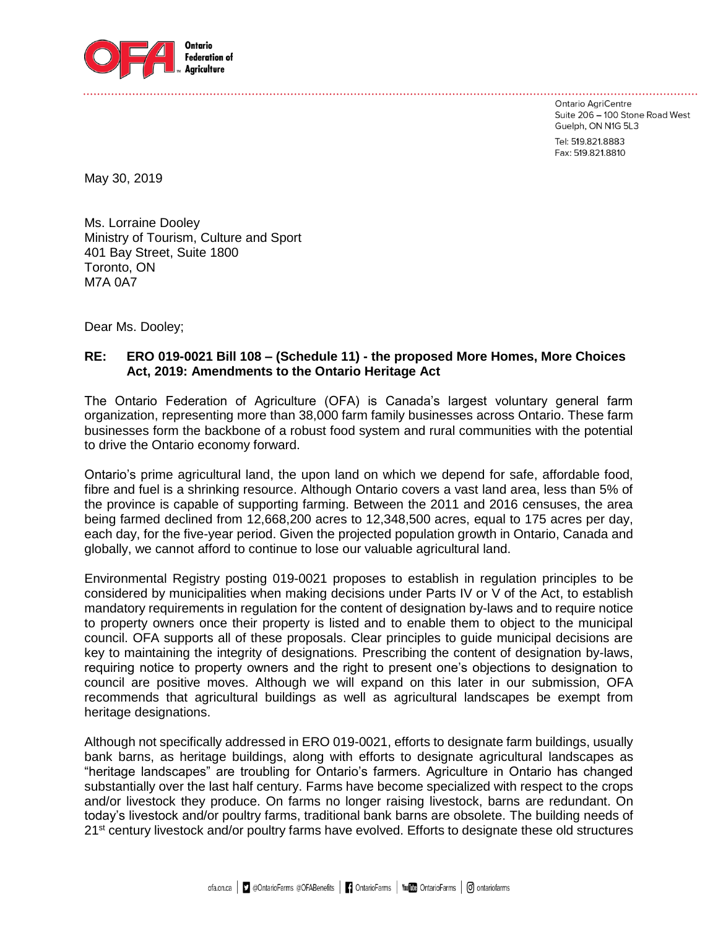

Ontario AgriCentre Suite 206 - 100 Stone Road West Guelph, ON N1G 5L3

Tel: 519.821.8883 Fax: 519.821.8810

May 30, 2019

Ms. Lorraine Dooley Ministry of Tourism, Culture and Sport 401 Bay Street, Suite 1800 Toronto, ON M7A 0A7

Dear Ms. Dooley;

## **RE: ERO 019-0021 Bill 108 – (Schedule 11) - the proposed More Homes, More Choices Act, 2019: Amendments to the Ontario Heritage Act**

The Ontario Federation of Agriculture (OFA) is Canada's largest voluntary general farm organization, representing more than 38,000 farm family businesses across Ontario. These farm businesses form the backbone of a robust food system and rural communities with the potential to drive the Ontario economy forward.

Ontario's prime agricultural land, the upon land on which we depend for safe, affordable food, fibre and fuel is a shrinking resource. Although Ontario covers a vast land area, less than 5% of the province is capable of supporting farming. Between the 2011 and 2016 censuses, the area being farmed declined from 12,668,200 acres to 12,348,500 acres, equal to 175 acres per day, each day, for the five-year period. Given the projected population growth in Ontario, Canada and globally, we cannot afford to continue to lose our valuable agricultural land.

Environmental Registry posting 019-0021 proposes to establish in regulation principles to be considered by municipalities when making decisions under Parts IV or V of the Act, to establish mandatory requirements in regulation for the content of designation by-laws and to require notice to property owners once their property is listed and to enable them to object to the municipal council. OFA supports all of these proposals. Clear principles to guide municipal decisions are key to maintaining the integrity of designations. Prescribing the content of designation by-laws, requiring notice to property owners and the right to present one's objections to designation to council are positive moves. Although we will expand on this later in our submission, OFA recommends that agricultural buildings as well as agricultural landscapes be exempt from heritage designations.

Although not specifically addressed in ERO 019-0021, efforts to designate farm buildings, usually bank barns, as heritage buildings, along with efforts to designate agricultural landscapes as "heritage landscapes" are troubling for Ontario's farmers. Agriculture in Ontario has changed substantially over the last half century. Farms have become specialized with respect to the crops and/or livestock they produce. On farms no longer raising livestock, barns are redundant. On today's livestock and/or poultry farms, traditional bank barns are obsolete. The building needs of 21<sup>st</sup> century livestock and/or poultry farms have evolved. Efforts to designate these old structures